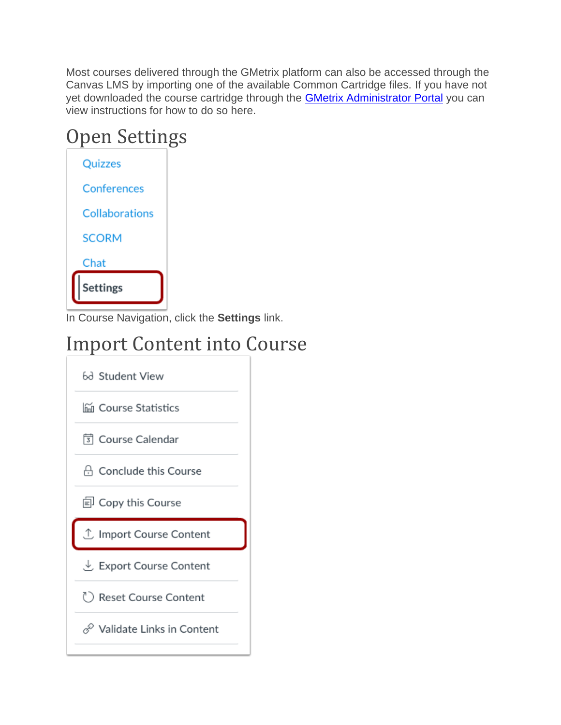Most courses delivered through the GMetrix platform can also be accessed through the Canvas LMS by importing one of the available Common Cartridge files. If you have not yet downloaded the course cartridge through the [GMetrix Administrator Portal](https://manage.gmetrix.net/Admin/Products/LTIResourceKeys.aspx) you can view instructions for how to do so here.

# Open Settings



In Course Navigation, click the **Settings** link.

### Import Content into Course

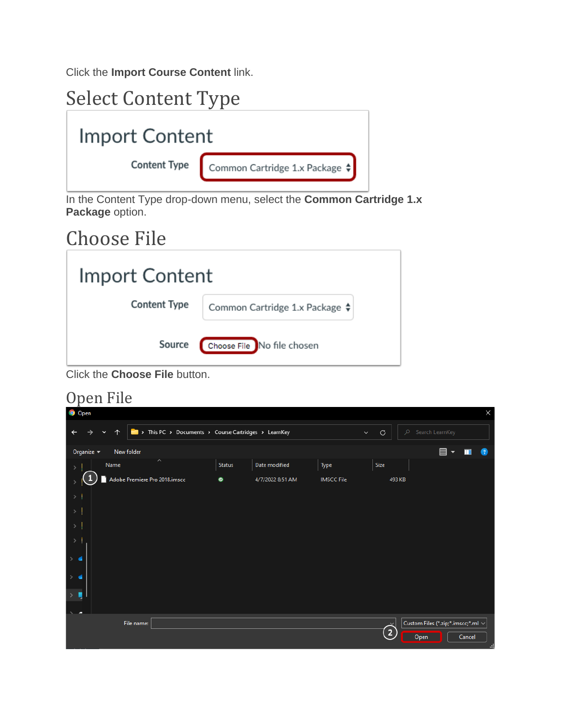Click the **Import Course Content** link.

| <b>Select Content Type</b> |                                                               |
|----------------------------|---------------------------------------------------------------|
| Import Content             |                                                               |
|                            | <b>Content Type</b> Common Cartridge 1.x Package $\triangleq$ |

In the Content Type drop-down menu, select the **Common Cartridge 1.x Package** option.

#### Choose File

| Import Content      |                                          |
|---------------------|------------------------------------------|
| <b>Content Type</b> | Common Cartridge 1.x Package $\clubsuit$ |
| Source              | Choose File No file chosen               |

Click the **Choose File** button.

#### Open File

| <b>Open</b>   |                        |                                                    |        |                  |                   |                   |                                         | $\times$            |
|---------------|------------------------|----------------------------------------------------|--------|------------------|-------------------|-------------------|-----------------------------------------|---------------------|
|               | 个<br>$\checkmark$<br>→ | This PC > Documents > Course Cartridges > LearnKey |        |                  | $\checkmark$      | $\mathcal{C}$     | Search LearnKey<br>$\mathcal{L}$        |                     |
| Organize $-$  |                        | New folder                                         |        |                  |                   |                   | 目、                                      | ш<br>$\overline{2}$ |
|               | Name                   | $\widehat{\phantom{a}}$                            | Status | Date modified    | Type              | Size              |                                         |                     |
|               |                        | Adobe Premiere Pro 2018.imscc                      | ۰      | 4/7/2022 8:51 AM | <b>IMSCC File</b> | 493 KB            |                                         |                     |
| $>$           |                        |                                                    |        |                  |                   |                   |                                         |                     |
| $\rightarrow$ |                        |                                                    |        |                  |                   |                   |                                         |                     |
| $\rightarrow$ |                        |                                                    |        |                  |                   |                   |                                         |                     |
|               |                        |                                                    |        |                  |                   |                   |                                         |                     |
|               |                        |                                                    |        |                  |                   |                   |                                         |                     |
|               |                        |                                                    |        |                  |                   |                   |                                         |                     |
|               |                        |                                                    |        |                  |                   |                   |                                         |                     |
|               |                        |                                                    |        |                  |                   |                   |                                         |                     |
|               |                        | File name:                                         |        |                  |                   | $\checkmark$      | Custom Files (*.zip;*.imscc;*.ml $\vee$ |                     |
|               |                        |                                                    |        |                  |                   | $\left( 2\right)$ | Open                                    | Cancel<br>ai.       |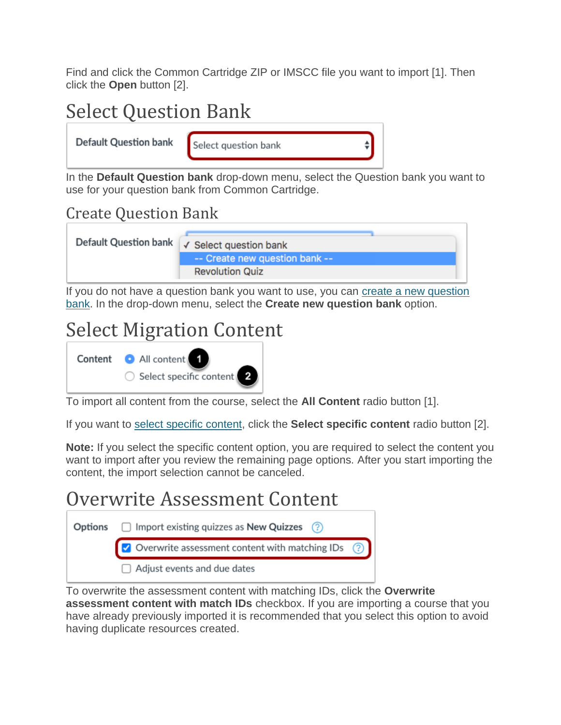Find and click the Common Cartridge ZIP or IMSCC file you want to import [1]. Then click the **Open** button [2].

## Select Question Bank

**Default Question bank** 

Select question bank

In the **Default Question bank** drop-down menu, select the Question bank you want to use for your question bank from Common Cartridge.

#### Create Question Bank



If you do not have a question bank you want to use, you can [create a new question](https://community.canvaslms.com/t5/Instructor-Guide/How-do-I-create-a-question-bank-in-a-course/ta-p/1228)  [bank.](https://community.canvaslms.com/t5/Instructor-Guide/How-do-I-create-a-question-bank-in-a-course/ta-p/1228) In the drop-down menu, select the **Create new question bank** option.

#### Select Migration Content



To import all content from the course, select the **All Content** radio button [1].

If you want to [select specific content,](https://community.canvaslms.com/t5/Instructor-Guide/How-do-I-select-specific-content-as-part-of-a-course-import/ta-p/1091) click the **Select specific content** radio button [2].

**Note:** If you select the specific content option, you are required to select the content you want to import after you review the remaining page options. After you start importing the content, the import selection cannot be canceled.

#### Overwrite Assessment Content Options  $\Box$  Import existing quizzes as New Quizzes  $\Box$  $\vee$  Overwrite assessment content with matching IDs  $\Box$  Adjust events and due dates

To overwrite the assessment content with matching IDs, click the **Overwrite assessment content with match IDs** checkbox. If you are importing a course that you have already previously imported it is recommended that you select this option to avoid having duplicate resources created.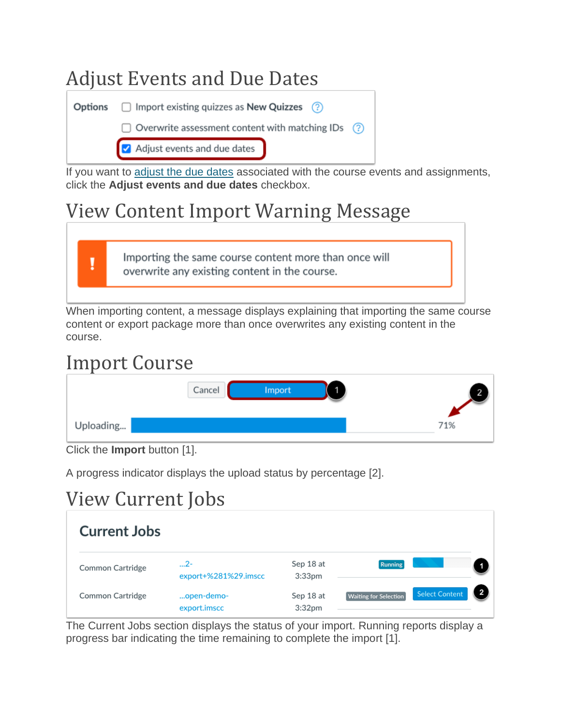

If you want to [adjust the due dates](https://community.canvaslms.com/t5/Instructor-Guide/How-do-I-adjust-events-and-due-dates-in-a-course-import/ta-p/1090) associated with the course events and assignments, click the **Adjust events and due dates** checkbox.

#### View Content Import Warning Message

Importing the same course content more than once will overwrite any existing content in the course.

When importing content, a message displays explaining that importing the same course content or export package more than once overwrites any existing content in the course.

#### Import Course

T

| -         | Cancel<br>Import | 2   |
|-----------|------------------|-----|
| Uploading |                  | 71% |

A progress indicator displays the upload status by percentage [2].

# View Current Jobs

| <b>Current Jobs</b> |                              |                                 |                              |                       |  |
|---------------------|------------------------------|---------------------------------|------------------------------|-----------------------|--|
| Common Cartridge    | $2-$<br>export+%281%29.imscc | Sep 18 at<br>3:33 <sub>pm</sub> | <b>Running</b>               |                       |  |
| Common Cartridge    | open-demo-<br>export.imscc   | Sep 18 at<br>3:32 <sub>pm</sub> | <b>Waiting for Selection</b> | <b>Select Content</b> |  |

The Current Jobs section displays the status of your import. Running reports display a progress bar indicating the time remaining to complete the import [1].

Click the **Import** button [1].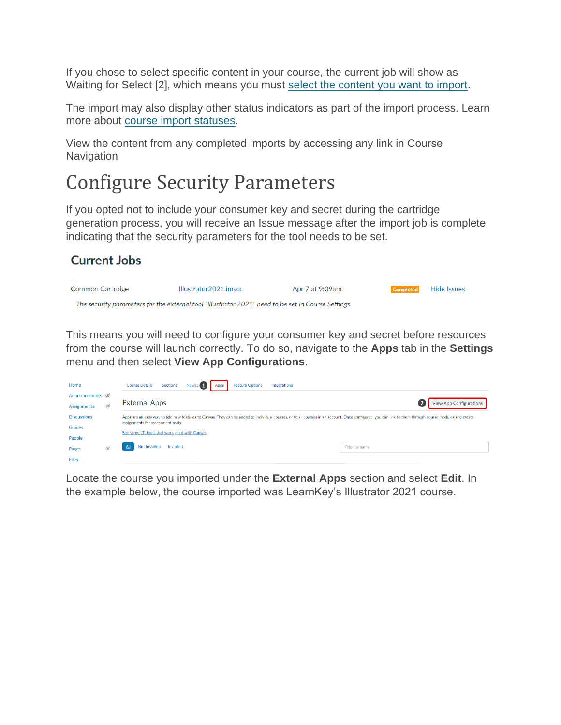If you chose to select specific content in your course, the current job will show as Waiting for Select [2], which means you must [select the content you want to import.](https://community.canvaslms.com/t5/Instructor-Guide/How-do-I-select-specific-content-as-part-of-a-course-import/ta-p/1091)

The import may also display other status indicators as part of the import process. Learn more about [course import statuses.](https://community.canvaslms.com/t5/Instructor-Guide/How-do-I-view-the-status-of-current-and-prior-course-imports/ta-p/1077)

View the content from any completed imports by accessing any link in Course **Navigation** 

#### Configure Security Parameters

If you opted not to include your consumer key and secret during the cartridge generation process, you will receive an Issue message after the import job is complete indicating that the security parameters for the tool needs to be set.

#### **Current Jobs**



This means you will need to configure your consumer key and secret before resources from the course will launch correctly. To do so, navigate to the **Apps** tab in the **Settings**  menu and then select **View App Configurations**.

| Home                       |   | <b>Course Details</b><br><b>Feature Options</b><br>Sections<br>Naviga <sup>®</sup><br>Integrations<br>Apps                                                                                            |                                |
|----------------------------|---|-------------------------------------------------------------------------------------------------------------------------------------------------------------------------------------------------------|--------------------------------|
| Announcements <sup>®</sup> |   |                                                                                                                                                                                                       |                                |
| Assignments                | Ø | <b>External Apps</b>                                                                                                                                                                                  | <b>View App Configurations</b> |
| <b>Discussions</b>         |   | Apps are an easy way to add new features to Canvas. They can be added to individual courses, or to all courses in an account. Once configured, you can link to them through course modules and create |                                |
| Grades                     |   | assignments for assessment tools.<br>See some LTI tools that work great with Canvas.                                                                                                                  |                                |
| People                     |   |                                                                                                                                                                                                       |                                |
| Pages                      | Ø | Not Installed<br>Installed                                                                                                                                                                            | Filter by name                 |
| <b>Eiler</b>               |   |                                                                                                                                                                                                       |                                |

Locate the course you imported under the **External Apps** section and select **Edit**. In the example below, the course imported was LearnKey's Illustrator 2021 course.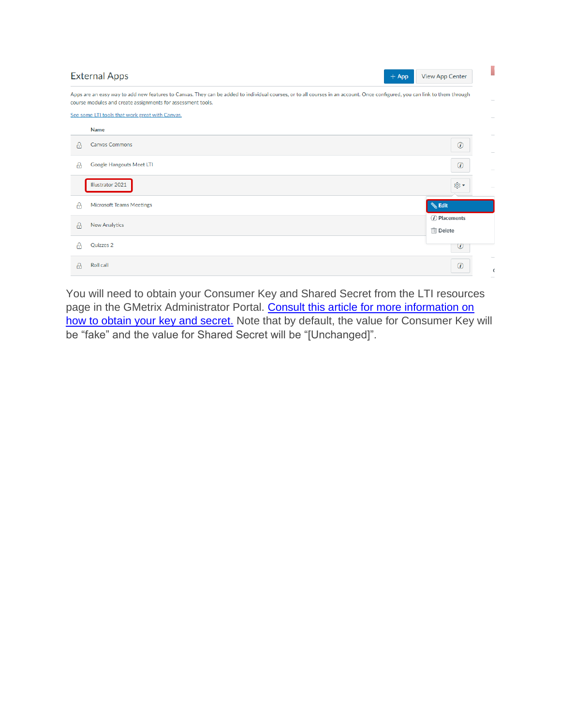|   | <b>External Apps</b><br>$+$ App                                                                                                                                                                                                            | <b>View App Center</b>       |
|---|--------------------------------------------------------------------------------------------------------------------------------------------------------------------------------------------------------------------------------------------|------------------------------|
|   | Apps are an easy way to add new features to Canvas. They can be added to individual courses, or to all courses in an account. Once configured, you can link to them through<br>course modules and create assignments for assessment tools. |                              |
|   | See some LTI tools that work great with Canvas.                                                                                                                                                                                            |                              |
|   | <b>Name</b>                                                                                                                                                                                                                                |                              |
| А | <b>Canvas Commons</b>                                                                                                                                                                                                                      | $\circled{v}$                |
| А | Google Hangouts Meet LTI                                                                                                                                                                                                                   | $\odot$                      |
|   | Illustrator 2021                                                                                                                                                                                                                           | ®ু ▼                         |
| А | <b>Microsoft Teams Meetings</b>                                                                                                                                                                                                            | <b>Sedit</b>                 |
| А | <b>New Analytics</b>                                                                                                                                                                                                                       | $(i)$ Placements<br>而 Delete |
|   | Quizzes 2                                                                                                                                                                                                                                  | $\omega$                     |
| А | Roll call                                                                                                                                                                                                                                  | $\circled{v}$                |

You will need to obtain your Consumer Key and Shared Secret from the LTI resources page in the GMetrix Administrator Portal. Consult this article for more information on [how to obtain your key and secret.](https://support.gmetrix.net/support/solutions/articles/67000692201-how-to-create-your-key-and-secret) Note that by default, the value for Consumer Key will be "fake" and the value for Shared Secret will be "[Unchanged]".